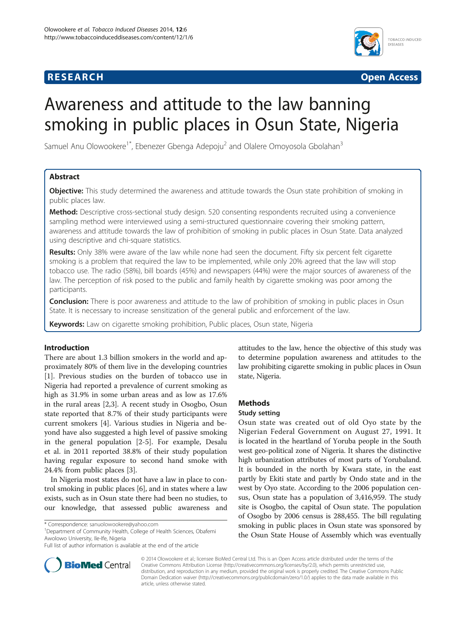# **RESEARCH RESEARCH** *CHECKER CHECKER CHECKER CHECKER CHECKER CHECKER CHECKER CHECKER CHECKER CHECKER CHECKER*



# Awareness and attitude to the law banning smoking in public places in Osun State, Nigeria

Samuel Anu Olowookere<sup>1\*</sup>, Ebenezer Gbenga Adepoju<sup>2</sup> and Olalere Omoyosola Gbolahan<sup>3</sup>

# Abstract

**Objective:** This study determined the awareness and attitude towards the Osun state prohibition of smoking in public places law.

Method: Descriptive cross-sectional study design. 520 consenting respondents recruited using a convenience sampling method were interviewed using a semi-structured questionnaire covering their smoking pattern, awareness and attitude towards the law of prohibition of smoking in public places in Osun State. Data analyzed using descriptive and chi-square statistics.

Results: Only 38% were aware of the law while none had seen the document. Fifty six percent felt cigarette smoking is a problem that required the law to be implemented, while only 20% agreed that the law will stop tobacco use. The radio (58%), bill boards (45%) and newspapers (44%) were the major sources of awareness of the law. The perception of risk posed to the public and family health by cigarette smoking was poor among the participants.

**Conclusion:** There is poor awareness and attitude to the law of prohibition of smoking in public places in Osun State. It is necessary to increase sensitization of the general public and enforcement of the law.

Keywords: Law on cigarette smoking prohibition, Public places, Osun state, Nigeria

# Introduction

There are about 1.3 billion smokers in the world and approximately 80% of them live in the developing countries [[1\]](#page-3-0). Previous studies on the burden of tobacco use in Nigeria had reported a prevalence of current smoking as high as 31.9% in some urban areas and as low as 17.6% in the rural areas [[2,3\]](#page-3-0). A recent study in Osogbo, Osun state reported that 8.7% of their study participants were current smokers [[4\]](#page-3-0). Various studies in Nigeria and beyond have also suggested a high level of passive smoking in the general population [\[2](#page-3-0)-[5\]](#page-3-0). For example, Desalu et al. in 2011 reported 38.8% of their study population having regular exposure to second hand smoke with 24.4% from public places [\[3\]](#page-3-0).

In Nigeria most states do not have a law in place to control smoking in public places [[6\]](#page-3-0), and in states where a law exists, such as in Osun state there had been no studies, to our knowledge, that assessed public awareness and

Department of Community Health, College of Health Sciences, Obafemi Awolowo University, Ile-Ife, Nigeria



# Methods

# Study setting

Osun state was created out of old Oyo state by the Nigerian Federal Government on August 27, 1991. It is located in the heartland of Yoruba people in the South west geo-political zone of Nigeria. It shares the distinctive high urbanization attributes of most parts of Yorubaland. It is bounded in the north by Kwara state, in the east partly by Ekiti state and partly by Ondo state and in the west by Oyo state. According to the 2006 population census, Osun state has a population of 3,416,959. The study site is Osogbo, the capital of Osun state. The population of Osogbo by 2006 census is 288,455. The bill regulating smoking in public places in Osun state was sponsored by the Osun State House of Assembly which was eventually



© 2014 Olowookere et al.; licensee BioMed Central Ltd. This is an Open Access article distributed under the terms of the Creative Commons Attribution License (<http://creativecommons.org/licenses/by/2.0>), which permits unrestricted use, distribution, and reproduction in any medium, provided the original work is properly credited. The Creative Commons Public Domain Dedication waiver [\(http://creativecommons.org/publicdomain/zero/1.0/\)](http://creativecommons.org/publicdomain/zero/1.0/) applies to the data made available in this article, unless otherwise stated.

<sup>\*</sup> Correspondence: [sanuolowookere@yahoo.com](mailto:sanuolowookere@yahoo.com) <sup>1</sup>

Full list of author information is available at the end of the article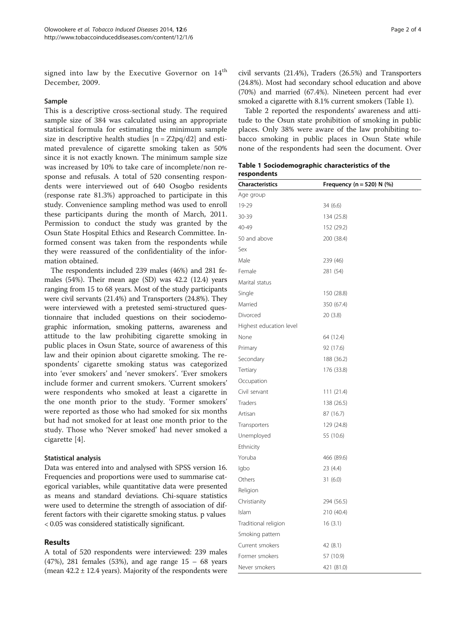signed into law by the Executive Governor on 14<sup>th</sup> December, 2009.

## Sample

This is a descriptive cross-sectional study. The required sample size of 384 was calculated using an appropriate statistical formula for estimating the minimum sample size in descriptive health studies  $[n = Z2pq/d2]$  and estimated prevalence of cigarette smoking taken as 50% since it is not exactly known. The minimum sample size was increased by 10% to take care of incomplete/non response and refusals. A total of 520 consenting respondents were interviewed out of 640 Osogbo residents (response rate 81.3%) approached to participate in this study. Convenience sampling method was used to enroll these participants during the month of March, 2011. Permission to conduct the study was granted by the Osun State Hospital Ethics and Research Committee. Informed consent was taken from the respondents while they were reassured of the confidentiality of the information obtained.

The respondents included 239 males (46%) and 281 females (54%). Their mean age (SD) was 42.2 (12.4) years ranging from 15 to 68 years. Most of the study participants were civil servants (21.4%) and Transporters (24.8%). They were interviewed with a pretested semi-structured questionnaire that included questions on their sociodemographic information, smoking patterns, awareness and attitude to the law prohibiting cigarette smoking in public places in Osun State, source of awareness of this law and their opinion about cigarette smoking. The respondents' cigarette smoking status was categorized into 'ever smokers' and 'never smokers'. 'Ever smokers include former and current smokers. 'Current smokers' were respondents who smoked at least a cigarette in the one month prior to the study. 'Former smokers' were reported as those who had smoked for six months but had not smoked for at least one month prior to the study. Those who 'Never smoked' had never smoked a cigarette [[4\]](#page-3-0).

### Statistical analysis

Data was entered into and analysed with SPSS version 16. Frequencies and proportions were used to summarise categorical variables, while quantitative data were presented as means and standard deviations. Chi-square statistics were used to determine the strength of association of different factors with their cigarette smoking status. p values < 0.05 was considered statistically significant.

# Results

A total of 520 respondents were interviewed: 239 males (47%), 281 females (53%), and age range 15 – 68 years (mean  $42.2 \pm 12.4$  years). Majority of the respondents were

civil servants (21.4%), Traders (26.5%) and Transporters (24.8%). Most had secondary school education and above (70%) and married (67.4%). Nineteen percent had ever smoked a cigarette with 8.1% current smokers (Table 1).

Table [2](#page-2-0) reported the respondents' awareness and attitude to the Osun state prohibition of smoking in public places. Only 38% were aware of the law prohibiting tobacco smoking in public places in Osun State while none of the respondents had seen the document. Over

Table 1 Sociodemographic characteristics of the respondents

| <b>Characteristics</b>  | Frequency (n = 520) N $(\%)$ |  |
|-------------------------|------------------------------|--|
| Age group               |                              |  |
| 19-29                   | 34 (6.6)                     |  |
| 30-39                   | 134 (25.8)                   |  |
| 40-49                   | 152 (29.2)                   |  |
| 50 and above            | 200 (38.4)                   |  |
| Sex                     |                              |  |
| Male                    | 239 (46)                     |  |
| Female                  | 281 (54)                     |  |
| Marital status          |                              |  |
| Single                  | 150 (28.8)                   |  |
| Married                 | 350 (67.4)                   |  |
| Divorced                | 20 (3.8)                     |  |
| Highest education level |                              |  |
| None                    | 64 (12.4)                    |  |
| Primary                 | 92 (17.6)                    |  |
| Secondary               | 188 (36.2)                   |  |
| Tertiary                | 176 (33.8)                   |  |
| Occupation              |                              |  |
| Civil servant           | 111(21.4)                    |  |
| Traders                 | 138 (26.5)                   |  |
| Artisan                 | 87 (16.7)                    |  |
| Transporters            | 129 (24.8)                   |  |
| Unemployed              | 55 (10.6)                    |  |
| Ethnicity               |                              |  |
| Yoruba                  | 466 (89.6)                   |  |
| Igbo                    | 23 (4.4)                     |  |
| Others                  | 31(6.0)                      |  |
| Religion                |                              |  |
| Christianity            | 294 (56.5)                   |  |
| Islam                   | 210 (40.4)                   |  |
| Traditional religion    | 16(3.1)                      |  |
| Smoking pattern         |                              |  |
| Current smokers         | 42 (8.1)                     |  |
| Former smokers          | 57 (10.9)                    |  |
| Never smokers           | 421 (81.0)                   |  |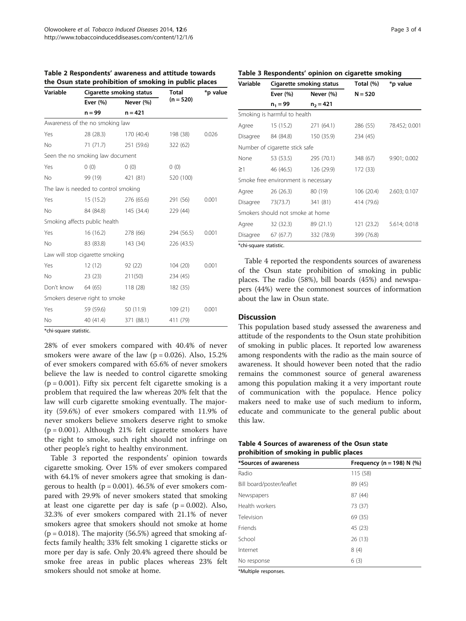| Variable  | Cigarette smoking status             |                      | Total       | *p value |
|-----------|--------------------------------------|----------------------|-------------|----------|
|           | Ever $(\% )$                         | Never (%)            | $(n = 520)$ |          |
|           | $n = 99$                             | $n = 421$            |             |          |
|           | Awareness of the no smoking law      |                      |             |          |
| Yes       | 28 (28.3)                            | 170 (40.4)           | 198 (38)    | 0.026    |
| No        |                                      | 71 (71.7) 251 (59.6) | 322 (62)    |          |
|           | Seen the no smoking law document     |                      |             |          |
| Yes       | 0(0)                                 | (0)                  | 0(0)        |          |
| <b>No</b> | 99 (19)                              | 421 (81)             | 520 (100)   |          |
|           | The law is needed to control smoking |                      |             |          |
| Yes       | 15(15.2)                             | 276 (65.6)           | 291 (56)    | 0.001    |
| No        |                                      | 84 (84.8) 145 (34.4) | 229 (44)    |          |
|           | Smoking affects public health        |                      |             |          |
| Yes       | 16 (16.2)                            | 278 (66)             | 294 (56.5)  | 0.001    |
| No        | 83 (83.8)                            | 143 (34)             | 226 (43.5)  |          |
|           | Law will stop cigarette smoking      |                      |             |          |
| Yes       | 12 (12)                              | 92(22)               | 104(20)     | 0.001    |
| No        | 23(23)                               | 211(50)              | 234 (45)    |          |
|           | Don't know 64 (65)                   | 118(28)              | 182 (35)    |          |
|           | Smokers deserve right to smoke       |                      |             |          |
| Yes       | 59 (59.6)                            | 50 (11.9)            | 109(21)     | 0.001    |
| <b>No</b> | 40 (41.4)                            | 371 (88.1)           | 411 (79)    |          |

<span id="page-2-0"></span>Table 2 Respondents' awareness and attitude towards the Osun state prohibition of smoking in public places

\*chi-square statistic.

28% of ever smokers compared with 40.4% of never smokers were aware of the law ( $p = 0.026$ ). Also, 15.2% of ever smokers compared with 65.6% of never smokers believe the law is needed to control cigarette smoking  $(p = 0.001)$ . Fifty six percent felt cigarette smoking is a problem that required the law whereas 20% felt that the law will curb cigarette smoking eventually. The majority (59.6%) of ever smokers compared with 11.9% of never smokers believe smokers deserve right to smoke  $(p = 0.001)$ . Although 21% felt cigarette smokers have the right to smoke, such right should not infringe on other people's right to healthy environment.

Table 3 reported the respondents' opinion towards cigarette smoking. Over 15% of ever smokers compared with 64.1% of never smokers agree that smoking is dangerous to health ( $p = 0.001$ ). 46.5% of ever smokers compared with 29.9% of never smokers stated that smoking at least one cigarette per day is safe  $(p = 0.002)$ . Also, 32.3% of ever smokers compared with 21.1% of never smokers agree that smokers should not smoke at home  $(p = 0.018)$ . The majority (56.5%) agreed that smoking affects family health; 33% felt smoking 1 cigarette sticks or more per day is safe. Only 20.4% agreed there should be smoke free areas in public places whereas 23% felt smokers should not smoke at home.

# Table 3 Respondents' opinion on cigarette smoking

| Variable             | Cigarette smoking status            |             | Total (%)  | *p value      |
|----------------------|-------------------------------------|-------------|------------|---------------|
|                      | Ever (%)                            | Never (%)   | $N = 520$  |               |
|                      | $n_1 = 99$                          | $n_2 = 421$ |            |               |
|                      | Smoking is harmful to health        |             |            |               |
| Agree                | 15(15.2)                            | 271 (64.1)  | 286 (55)   | 78.452; 0.001 |
|                      | Disagree 84 (84.8)                  | 150 (35.9)  | 234 (45)   |               |
|                      | Number of cigarette stick safe      |             |            |               |
| None                 | 53 (53.5)                           | 295 (70.1)  | 348 (67)   | 9.901; 0.002  |
| $\geq$ 1             | 46 (46.5)                           | 126 (29.9)  | 172 (33)   |               |
|                      | Smoke free environment is necessary |             |            |               |
| Agree                | 26(26.3)                            | 80 (19)     | 106 (20.4) | 2.603; 0.107  |
| Disagree             | 73(73.7)                            | 341 (81)    | 414 (79.6) |               |
|                      | Smokers should not smoke at home    |             |            |               |
| Agree                | 32 (32.3)                           | 89 (21.1)   | 121 (23.2) | 5.614; 0.018  |
| Disagree             | 67 (67.7)                           | 332 (78.9)  | 399 (76.8) |               |
| $\sim$ $\sim$ $\sim$ |                                     |             |            |               |

\*chi-square statistic.

Table 4 reported the respondents sources of awareness of the Osun state prohibition of smoking in public places. The radio (58%), bill boards (45%) and newspapers (44%) were the commonest sources of information about the law in Osun state.

# **Discussion**

This population based study assessed the awareness and attitude of the respondents to the Osun state prohibition of smoking in public places. It reported low awareness among respondents with the radio as the main source of awareness. It should however been noted that the radio remains the commonest source of general awareness among this population making it a very important route of communication with the populace. Hence policy makers need to make use of such medium to inform, educate and communicate to the general public about this law.

| Table 4 Sources of awareness of the Osun state |  |  |  |
|------------------------------------------------|--|--|--|
| prohibition of smoking in public places        |  |  |  |

| *Sources of awareness     | Frequency (n = 198) N $(\%)$ |  |  |
|---------------------------|------------------------------|--|--|
| Radio                     | 115 (58)                     |  |  |
| Bill board/poster/leaflet | 89 (45)                      |  |  |
| Newspapers                | 87 (44)                      |  |  |
| Health workers            | 73 (37)                      |  |  |
| Television                | 69 (35)                      |  |  |
| <b>Friends</b>            | 45 (23)                      |  |  |
| School                    | 26(13)                       |  |  |
| Internet                  | 8(4)                         |  |  |
| No response               | 6(3)                         |  |  |

\*Multiple responses.